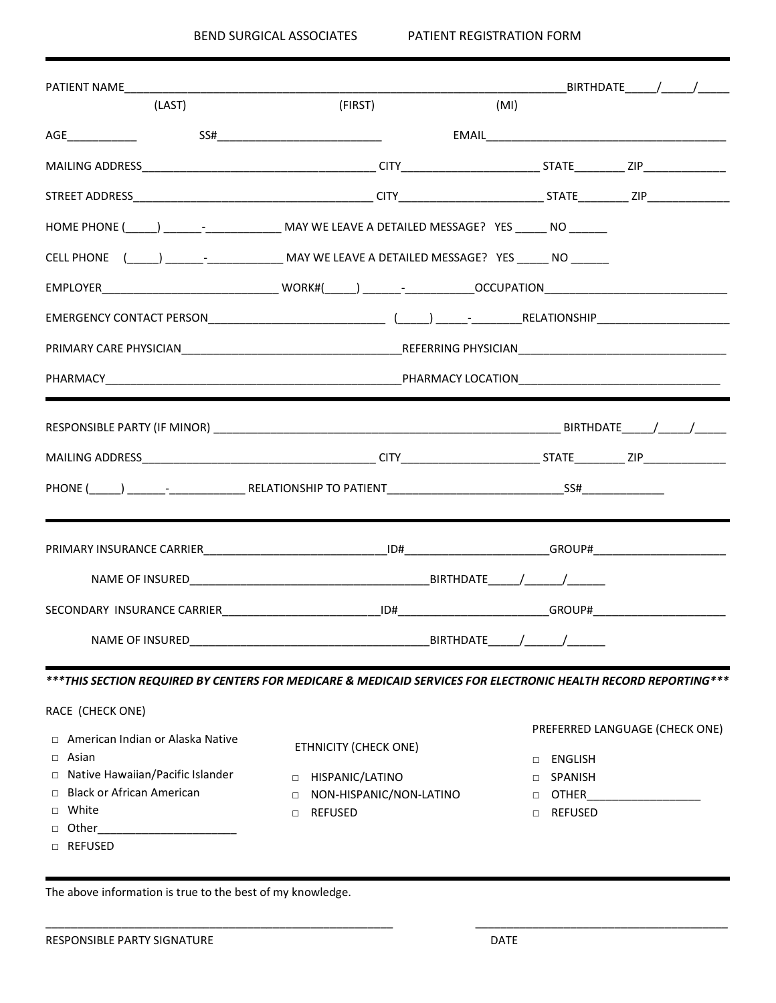| PATIENT NAME                                                                                                   |                                   |      |                          | BIRTHDATE / /                  |
|----------------------------------------------------------------------------------------------------------------|-----------------------------------|------|--------------------------|--------------------------------|
| (LAST)                                                                                                         | (FIRST)                           | (MI) |                          |                                |
| AGE                                                                                                            | SS#                               |      |                          |                                |
|                                                                                                                |                                   |      |                          |                                |
|                                                                                                                |                                   |      |                          |                                |
| HOME PHONE (______) ___________________________MAY WE LEAVE A DETAILED MESSAGE? YES ________________           |                                   |      |                          |                                |
| CELL PHONE (CONSERVERSION AND MAY WE LEAVE A DETAILED MESSAGE? YES NO NO NO NORTHLED MESSAGE? YES              |                                   |      |                          |                                |
|                                                                                                                |                                   |      |                          |                                |
| EMERGENCY CONTACT PERSON EXAMPLE THE RELATIONSHIP RELATIONSHIP                                                 |                                   |      |                          |                                |
|                                                                                                                |                                   |      |                          |                                |
|                                                                                                                |                                   |      |                          |                                |
|                                                                                                                |                                   |      |                          |                                |
|                                                                                                                |                                   |      |                          |                                |
|                                                                                                                |                                   |      |                          |                                |
|                                                                                                                |                                   |      |                          |                                |
|                                                                                                                |                                   |      |                          |                                |
| SECONDARY INSURANCE CARRIER <b>Example 20 ID + CONDITATION</b> CROUP + CONDITATION CROUP +                     |                                   |      |                          |                                |
| NAME OF INSURED                                                                                                |                                   |      |                          |                                |
| ***THIS SECTION REQUIRED BY CENTERS FOR MEDICARE & MEDICAID SERVICES FOR ELECTRONIC HEALTH RECORD REPORTING*** |                                   |      |                          |                                |
| RACE (CHECK ONE)                                                                                               |                                   |      |                          |                                |
| □ American Indian or Alaska Native<br>Asian<br>$\Box$                                                          | <b>ETHNICITY (CHECK ONE)</b>      |      | ENGLISH<br>П.            | PREFERRED LANGUAGE (CHECK ONE) |
| □ Native Hawaiian/Pacific Islander                                                                             | HISPANIC/LATINO<br>$\Box$         |      | <b>SPANISH</b><br>$\Box$ |                                |
| <b>Black or African American</b><br>$\Box$                                                                     | NON-HISPANIC/NON-LATINO<br>$\Box$ |      | OTHER<br>$\Box$          |                                |
| □ White                                                                                                        | <b>REFUSED</b><br>$\Box$          |      | □ REFUSED                |                                |
| Other<br>$\Box$                                                                                                |                                   |      |                          |                                |
| <b>D REFUSED</b>                                                                                               |                                   |      |                          |                                |

\_\_\_\_\_\_\_\_\_\_\_\_\_\_\_\_\_\_\_\_\_\_\_\_\_\_\_\_\_\_\_\_\_\_\_\_\_\_\_\_\_\_\_\_\_\_\_\_\_\_\_\_\_\_\_ \_\_\_\_\_\_\_\_\_\_\_\_\_\_\_\_\_\_\_\_\_\_\_\_\_\_\_\_\_\_\_\_\_\_\_\_\_\_\_\_

The above information is true to the best of my knowledge.